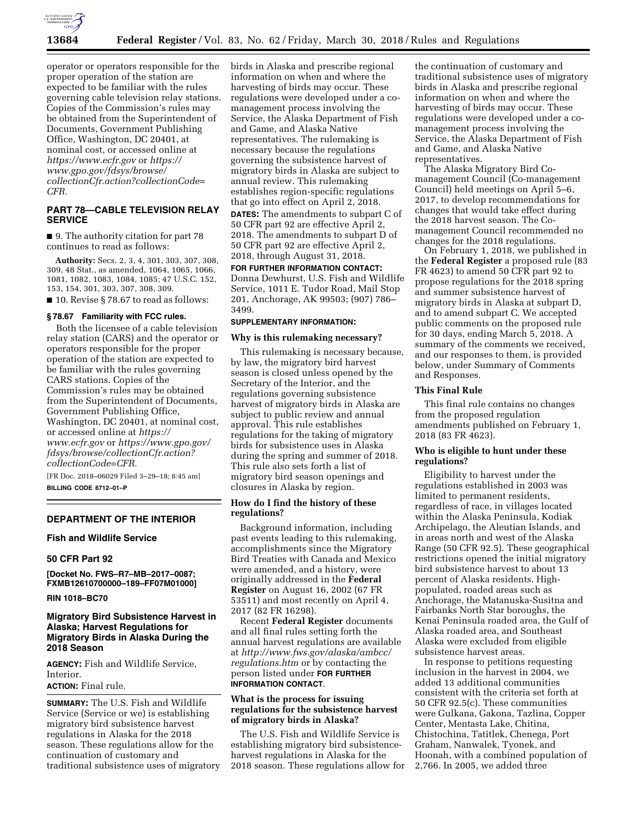

operator or operators responsible for the proper operation of the station are expected to be familiar with the rules governing cable television relay stations. Copies of the Commission's rules may be obtained from the Superintendent of Documents, Government Publishing Office, Washington, DC 20401, at nominal cost, or accessed online at *<https://www.ecfr.gov>*or *[https://](https://www.gpo.gov/fdsys/browse/collectionCfr.action?collectionCode=CFR) [www.gpo.gov/fdsys/browse/](https://www.gpo.gov/fdsys/browse/collectionCfr.action?collectionCode=CFR) [collectionCfr.action?collectionCode=](https://www.gpo.gov/fdsys/browse/collectionCfr.action?collectionCode=CFR) [CFR.](https://www.gpo.gov/fdsys/browse/collectionCfr.action?collectionCode=CFR)* 

# **PART 78—CABLE TELEVISION RELAY SERVICE**

■ 9. The authority citation for part 78 continues to read as follows:

**Authority:** Secs. 2, 3, 4, 301, 303, 307, 308, 309, 48 Stat., as amended, 1064, 1065, 1066, 1081, 1082, 1083, 1084, 1085; 47 U.S.C. 152, 153, 154, 301, 303, 307, 308, 309.

■ 10. Revise § 78.67 to read as follows:

#### **§ 78.67 Familiarity with FCC rules.**

Both the licensee of a cable television relay station (CARS) and the operator or operators responsible for the proper operation of the station are expected to be familiar with the rules governing CARS stations. Copies of the Commission's rules may be obtained from the Superintendent of Documents, Government Publishing Office, Washington, DC 20401, at nominal cost, or accessed online at *[https://](https://www.ecfr.gov) [www.ecfr.gov](https://www.ecfr.gov)* or *[https://www.gpo.gov/](https://www.gpo.gov/fdsys/browse/collectionCfr.action?collectionCode=CFR) [fdsys/browse/collectionCfr.action?](https://www.gpo.gov/fdsys/browse/collectionCfr.action?collectionCode=CFR) [collectionCode=CFR.](https://www.gpo.gov/fdsys/browse/collectionCfr.action?collectionCode=CFR)* 

[FR Doc. 2018–06029 Filed 3–29–18; 8:45 am] **BILLING CODE 6712–01–P** 

#### **DEPARTMENT OF THE INTERIOR**

### **Fish and Wildlife Service**

#### **50 CFR Part 92**

**[Docket No. FWS–R7–MB–2017–0087; FXMB12610700000–189–FF07M01000]** 

## **RIN 1018–BC70**

### **Migratory Bird Subsistence Harvest in Alaska; Harvest Regulations for Migratory Birds in Alaska During the 2018 Season**

**AGENCY:** Fish and Wildlife Service, Interior.

# **ACTION:** Final rule.

**SUMMARY:** The U.S. Fish and Wildlife Service (Service or we) is establishing migratory bird subsistence harvest regulations in Alaska for the 2018 season. These regulations allow for the continuation of customary and traditional subsistence uses of migratory birds in Alaska and prescribe regional information on when and where the harvesting of birds may occur. These regulations were developed under a comanagement process involving the Service, the Alaska Department of Fish and Game, and Alaska Native representatives. The rulemaking is necessary because the regulations governing the subsistence harvest of migratory birds in Alaska are subject to annual review. This rulemaking establishes region-specific regulations that go into effect on April 2, 2018.

**DATES:** The amendments to subpart C of 50 CFR part 92 are effective April 2, 2018. The amendments to subpart D of 50 CFR part 92 are effective April 2, 2018, through August 31, 2018.

# **FOR FURTHER INFORMATION CONTACT:**

Donna Dewhurst, U.S. Fish and Wildlife Service, 1011 E. Tudor Road, Mail Stop 201, Anchorage, AK 99503; (907) 786– 3499.

### **SUPPLEMENTARY INFORMATION:**

#### **Why is this rulemaking necessary?**

This rulemaking is necessary because, by law, the migratory bird harvest season is closed unless opened by the Secretary of the Interior, and the regulations governing subsistence harvest of migratory birds in Alaska are subject to public review and annual approval. This rule establishes regulations for the taking of migratory birds for subsistence uses in Alaska during the spring and summer of 2018. This rule also sets forth a list of migratory bird season openings and closures in Alaska by region.

### **How do I find the history of these regulations?**

Background information, including past events leading to this rulemaking, accomplishments since the Migratory Bird Treaties with Canada and Mexico were amended, and a history, were originally addressed in the **Federal Register** on August 16, 2002 (67 FR 53511) and most recently on April 4, 2017 (82 FR 16298).

Recent **Federal Register** documents and all final rules setting forth the annual harvest regulations are available at *[http://www.fws.gov/alaska/ambcc/](http://www.fws.gov/alaska/ambcc/regulations.htm) [regulations.htm](http://www.fws.gov/alaska/ambcc/regulations.htm)* or by contacting the person listed under **FOR FURTHER INFORMATION CONTACT**.

### **What is the process for issuing regulations for the subsistence harvest of migratory birds in Alaska?**

The U.S. Fish and Wildlife Service is establishing migratory bird subsistenceharvest regulations in Alaska for the 2018 season. These regulations allow for

the continuation of customary and traditional subsistence uses of migratory birds in Alaska and prescribe regional information on when and where the harvesting of birds may occur. These regulations were developed under a comanagement process involving the Service, the Alaska Department of Fish and Game, and Alaska Native representatives.

The Alaska Migratory Bird Comanagement Council (Co-management Council) held meetings on April 5–6, 2017, to develop recommendations for changes that would take effect during the 2018 harvest season. The Comanagement Council recommended no changes for the 2018 regulations.

On February 1, 2018, we published in the **Federal Register** a proposed rule (83 FR 4623) to amend 50 CFR part 92 to propose regulations for the 2018 spring and summer subsistence harvest of migratory birds in Alaska at subpart D, and to amend subpart C. We accepted public comments on the proposed rule for 30 days, ending March 5, 2018. A summary of the comments we received, and our responses to them, is provided below, under Summary of Comments and Responses.

### **This Final Rule**

This final rule contains no changes from the proposed regulation amendments published on February 1, 2018 (83 FR 4623).

# **Who is eligible to hunt under these regulations?**

Eligibility to harvest under the regulations established in 2003 was limited to permanent residents, regardless of race, in villages located within the Alaska Peninsula, Kodiak Archipelago, the Aleutian Islands, and in areas north and west of the Alaska Range (50 CFR 92.5). These geographical restrictions opened the initial migratory bird subsistence harvest to about 13 percent of Alaska residents. Highpopulated, roaded areas such as Anchorage, the Matanuska-Susitna and Fairbanks North Star boroughs, the Kenai Peninsula roaded area, the Gulf of Alaska roaded area, and Southeast Alaska were excluded from eligible subsistence harvest areas.

In response to petitions requesting inclusion in the harvest in 2004, we added 13 additional communities consistent with the criteria set forth at 50 CFR 92.5(c). These communities were Gulkana, Gakona, Tazlina, Copper Center, Mentasta Lake, Chitina, Chistochina, Tatitlek, Chenega, Port Graham, Nanwalek, Tyonek, and Hoonah, with a combined population of 2,766. In 2005, we added three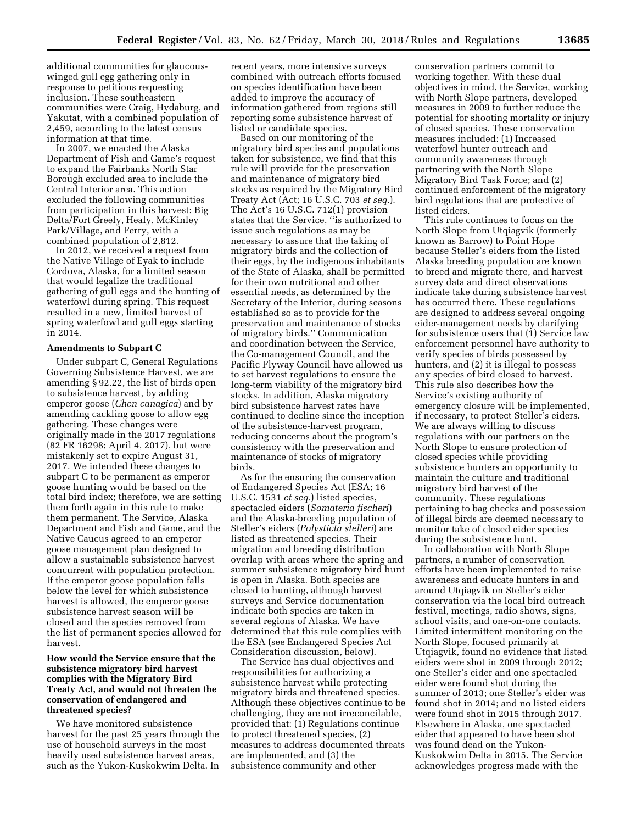additional communities for glaucouswinged gull egg gathering only in response to petitions requesting inclusion. These southeastern communities were Craig, Hydaburg, and Yakutat, with a combined population of 2,459, according to the latest census information at that time.

In 2007, we enacted the Alaska Department of Fish and Game's request to expand the Fairbanks North Star Borough excluded area to include the Central Interior area. This action excluded the following communities from participation in this harvest: Big Delta/Fort Greely, Healy, McKinley Park/Village, and Ferry, with a combined population of 2,812.

In 2012, we received a request from the Native Village of Eyak to include Cordova, Alaska, for a limited season that would legalize the traditional gathering of gull eggs and the hunting of waterfowl during spring. This request resulted in a new, limited harvest of spring waterfowl and gull eggs starting in 2014.

#### **Amendments to Subpart C**

Under subpart C, General Regulations Governing Subsistence Harvest, we are amending § 92.22, the list of birds open to subsistence harvest, by adding emperor goose (*Chen canagica*) and by amending cackling goose to allow egg gathering. These changes were originally made in the 2017 regulations (82 FR 16298; April 4, 2017), but were mistakenly set to expire August 31, 2017. We intended these changes to subpart C to be permanent as emperor goose hunting would be based on the total bird index; therefore, we are setting them forth again in this rule to make them permanent. The Service, Alaska Department and Fish and Game, and the Native Caucus agreed to an emperor goose management plan designed to allow a sustainable subsistence harvest concurrent with population protection. If the emperor goose population falls below the level for which subsistence harvest is allowed, the emperor goose subsistence harvest season will be closed and the species removed from the list of permanent species allowed for harvest.

### **How would the Service ensure that the subsistence migratory bird harvest complies with the Migratory Bird Treaty Act, and would not threaten the conservation of endangered and threatened species?**

We have monitored subsistence harvest for the past 25 years through the use of household surveys in the most heavily used subsistence harvest areas, such as the Yukon-Kuskokwim Delta. In recent years, more intensive surveys combined with outreach efforts focused on species identification have been added to improve the accuracy of information gathered from regions still reporting some subsistence harvest of listed or candidate species.

Based on our monitoring of the migratory bird species and populations taken for subsistence, we find that this rule will provide for the preservation and maintenance of migratory bird stocks as required by the Migratory Bird Treaty Act (Act; 16 U.S.C. 703 *et seq.*). The Act's 16 U.S.C. 712(1) provision states that the Service, ''is authorized to issue such regulations as may be necessary to assure that the taking of migratory birds and the collection of their eggs, by the indigenous inhabitants of the State of Alaska, shall be permitted for their own nutritional and other essential needs, as determined by the Secretary of the Interior, during seasons established so as to provide for the preservation and maintenance of stocks of migratory birds.'' Communication and coordination between the Service, the Co-management Council, and the Pacific Flyway Council have allowed us to set harvest regulations to ensure the long-term viability of the migratory bird stocks. In addition, Alaska migratory bird subsistence harvest rates have continued to decline since the inception of the subsistence-harvest program, reducing concerns about the program's consistency with the preservation and maintenance of stocks of migratory birds.

As for the ensuring the conservation of Endangered Species Act (ESA; 16 U.S.C. 1531 *et seq.*) listed species, spectacled eiders (*Somateria fischeri*) and the Alaska-breeding population of Steller's eiders (*Polysticta stelleri*) are listed as threatened species. Their migration and breeding distribution overlap with areas where the spring and summer subsistence migratory bird hunt is open in Alaska. Both species are closed to hunting, although harvest surveys and Service documentation indicate both species are taken in several regions of Alaska. We have determined that this rule complies with the ESA (see Endangered Species Act Consideration discussion, below).

The Service has dual objectives and responsibilities for authorizing a subsistence harvest while protecting migratory birds and threatened species. Although these objectives continue to be challenging, they are not irreconcilable, provided that: (1) Regulations continue to protect threatened species, (2) measures to address documented threats are implemented, and (3) the subsistence community and other

conservation partners commit to working together. With these dual objectives in mind, the Service, working with North Slope partners, developed measures in 2009 to further reduce the potential for shooting mortality or injury of closed species. These conservation measures included: (1) Increased waterfowl hunter outreach and community awareness through partnering with the North Slope Migratory Bird Task Force; and (2) continued enforcement of the migratory bird regulations that are protective of listed eiders.

This rule continues to focus on the North Slope from Utqiagvik (formerly known as Barrow) to Point Hope because Steller's eiders from the listed Alaska breeding population are known to breed and migrate there, and harvest survey data and direct observations indicate take during subsistence harvest has occurred there. These regulations are designed to address several ongoing eider-management needs by clarifying for subsistence users that (1) Service law enforcement personnel have authority to verify species of birds possessed by hunters, and (2) it is illegal to possess any species of bird closed to harvest. This rule also describes how the Service's existing authority of emergency closure will be implemented, if necessary, to protect Steller's eiders. We are always willing to discuss regulations with our partners on the North Slope to ensure protection of closed species while providing subsistence hunters an opportunity to maintain the culture and traditional migratory bird harvest of the community. These regulations pertaining to bag checks and possession of illegal birds are deemed necessary to monitor take of closed eider species during the subsistence hunt.

In collaboration with North Slope partners, a number of conservation efforts have been implemented to raise awareness and educate hunters in and around Utqiagvik on Steller's eider conservation via the local bird outreach festival, meetings, radio shows, signs, school visits, and one-on-one contacts. Limited intermittent monitoring on the North Slope, focused primarily at Utqiagvik, found no evidence that listed eiders were shot in 2009 through 2012; one Steller's eider and one spectacled eider were found shot during the summer of 2013; one Steller's eider was found shot in 2014; and no listed eiders were found shot in 2015 through 2017. Elsewhere in Alaska, one spectacled eider that appeared to have been shot was found dead on the Yukon-Kuskokwim Delta in 2015. The Service acknowledges progress made with the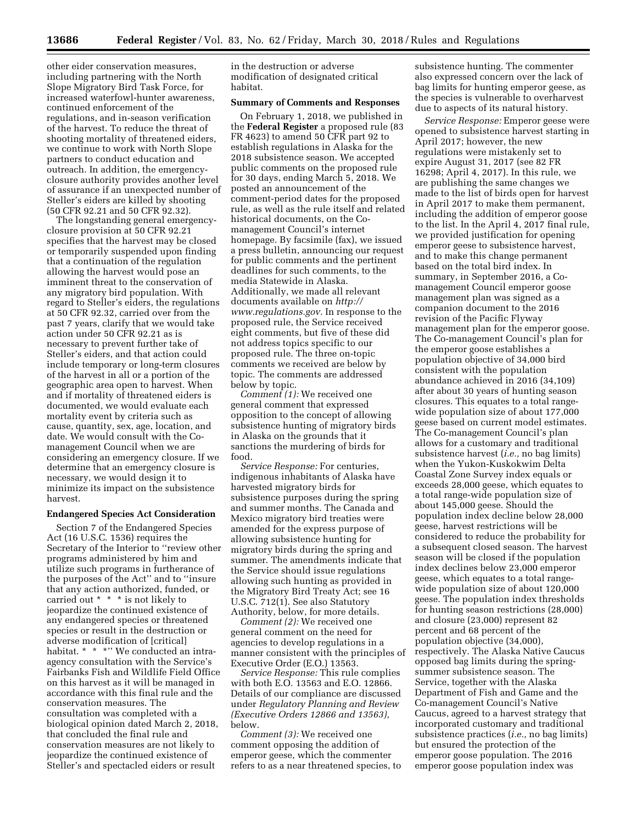other eider conservation measures, including partnering with the North Slope Migratory Bird Task Force, for increased waterfowl-hunter awareness, continued enforcement of the regulations, and in-season verification of the harvest. To reduce the threat of shooting mortality of threatened eiders, we continue to work with North Slope partners to conduct education and outreach. In addition, the emergencyclosure authority provides another level of assurance if an unexpected number of Steller's eiders are killed by shooting (50 CFR 92.21 and 50 CFR 92.32).

The longstanding general emergencyclosure provision at 50 CFR 92.21 specifies that the harvest may be closed or temporarily suspended upon finding that a continuation of the regulation allowing the harvest would pose an imminent threat to the conservation of any migratory bird population. With regard to Steller's eiders, the regulations at 50 CFR 92.32, carried over from the past 7 years, clarify that we would take action under 50 CFR 92.21 as is necessary to prevent further take of Steller's eiders, and that action could include temporary or long-term closures of the harvest in all or a portion of the geographic area open to harvest. When and if mortality of threatened eiders is documented, we would evaluate each mortality event by criteria such as cause, quantity, sex, age, location, and date. We would consult with the Comanagement Council when we are considering an emergency closure. If we determine that an emergency closure is necessary, we would design it to minimize its impact on the subsistence harvest.

#### **Endangered Species Act Consideration**

Section 7 of the Endangered Species Act (16 U.S.C. 1536) requires the Secretary of the Interior to ''review other programs administered by him and utilize such programs in furtherance of the purposes of the Act'' and to ''insure that any action authorized, funded, or carried out \* \* \* is not likely to jeopardize the continued existence of any endangered species or threatened species or result in the destruction or adverse modification of [critical] habitat. \* \* \* \* '' We conducted an intraagency consultation with the Service's Fairbanks Fish and Wildlife Field Office on this harvest as it will be managed in accordance with this final rule and the conservation measures. The consultation was completed with a biological opinion dated March 2, 2018, that concluded the final rule and conservation measures are not likely to jeopardize the continued existence of Steller's and spectacled eiders or result

in the destruction or adverse modification of designated critical habitat.

#### **Summary of Comments and Responses**

On February 1, 2018, we published in the **Federal Register** a proposed rule (83 FR 4623) to amend 50 CFR part 92 to establish regulations in Alaska for the 2018 subsistence season. We accepted public comments on the proposed rule for 30 days, ending March 5, 2018. We posted an announcement of the comment-period dates for the proposed rule, as well as the rule itself and related historical documents, on the Comanagement Council's internet homepage. By facsimile (fax), we issued a press bulletin, announcing our request for public comments and the pertinent deadlines for such comments, to the media Statewide in Alaska. Additionally, we made all relevant documents available on *[http://](http://www.regulations.gov) [www.regulations.gov.](http://www.regulations.gov)* In response to the proposed rule, the Service received eight comments, but five of these did not address topics specific to our proposed rule. The three on-topic comments we received are below by topic. The comments are addressed below by topic.

*Comment (1):* We received one general comment that expressed opposition to the concept of allowing subsistence hunting of migratory birds in Alaska on the grounds that it sanctions the murdering of birds for food.

*Service Response:* For centuries, indigenous inhabitants of Alaska have harvested migratory birds for subsistence purposes during the spring and summer months. The Canada and Mexico migratory bird treaties were amended for the express purpose of allowing subsistence hunting for migratory birds during the spring and summer. The amendments indicate that the Service should issue regulations allowing such hunting as provided in the Migratory Bird Treaty Act; see 16 U.S.C. 712(1). See also Statutory Authority, below, for more details.

*Comment (2):* We received one general comment on the need for agencies to develop regulations in a manner consistent with the principles of Executive Order (E.O.) 13563.

*Service Response:* This rule complies with both E.O. 13563 and E.O. 12866. Details of our compliance are discussed under *Regulatory Planning and Review (Executive Orders 12866 and 13563),*  below.

*Comment (3):* We received one comment opposing the addition of emperor geese, which the commenter refers to as a near threatened species, to subsistence hunting. The commenter also expressed concern over the lack of bag limits for hunting emperor geese, as the species is vulnerable to overharvest due to aspects of its natural history.

*Service Response:* Emperor geese were opened to subsistence harvest starting in April 2017; however, the new regulations were mistakenly set to expire August 31, 2017 (see 82 FR 16298; April 4, 2017). In this rule, we are publishing the same changes we made to the list of birds open for harvest in April 2017 to make them permanent, including the addition of emperor goose to the list. In the April 4, 2017 final rule, we provided justification for opening emperor geese to subsistence harvest, and to make this change permanent based on the total bird index. In summary, in September 2016, a Comanagement Council emperor goose management plan was signed as a companion document to the 2016 revision of the Pacific Flyway management plan for the emperor goose. The Co-management Council's plan for the emperor goose establishes a population objective of 34,000 bird consistent with the population abundance achieved in 2016 (34,109) after about 30 years of hunting season closures. This equates to a total rangewide population size of about 177,000 geese based on current model estimates. The Co-management Council's plan allows for a customary and traditional subsistence harvest (*i.e.,* no bag limits) when the Yukon-Kuskokwim Delta Coastal Zone Survey index equals or exceeds 28,000 geese, which equates to a total range-wide population size of about 145,000 geese. Should the population index decline below 28,000 geese, harvest restrictions will be considered to reduce the probability for a subsequent closed season. The harvest season will be closed if the population index declines below 23,000 emperor geese, which equates to a total rangewide population size of about 120,000 geese. The population index thresholds for hunting season restrictions (28,000) and closure (23,000) represent 82 percent and 68 percent of the population objective (34,000), respectively. The Alaska Native Caucus opposed bag limits during the springsummer subsistence season. The Service, together with the Alaska Department of Fish and Game and the Co-management Council's Native Caucus, agreed to a harvest strategy that incorporated customary and traditional subsistence practices (*i.e.,* no bag limits) but ensured the protection of the emperor goose population. The 2016 emperor goose population index was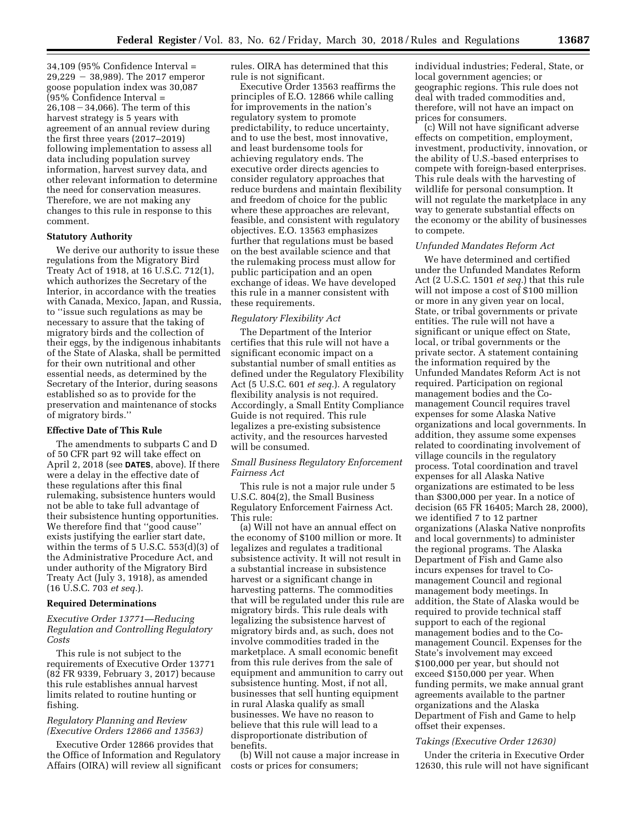34,109 (95% Confidence Interval =  $29,229 - 38,989$ . The 2017 emperor goose population index was 30,087 (95% Confidence Interval =  $26,108 - 34,066$ . The term of this harvest strategy is 5 years with agreement of an annual review during the first three years (2017–2019) following implementation to assess all data including population survey information, harvest survey data, and other relevant information to determine the need for conservation measures. Therefore, we are not making any changes to this rule in response to this comment.

### **Statutory Authority**

We derive our authority to issue these regulations from the Migratory Bird Treaty Act of 1918, at 16 U.S.C. 712(1), which authorizes the Secretary of the Interior, in accordance with the treaties with Canada, Mexico, Japan, and Russia, to ''issue such regulations as may be necessary to assure that the taking of migratory birds and the collection of their eggs, by the indigenous inhabitants of the State of Alaska, shall be permitted for their own nutritional and other essential needs, as determined by the Secretary of the Interior, during seasons established so as to provide for the preservation and maintenance of stocks of migratory birds.''

#### **Effective Date of This Rule**

The amendments to subparts C and D of 50 CFR part 92 will take effect on April 2, 2018 (see **DATES**, above). If there were a delay in the effective date of these regulations after this final rulemaking, subsistence hunters would not be able to take full advantage of their subsistence hunting opportunities. We therefore find that ''good cause'' exists justifying the earlier start date, within the terms of 5 U.S.C. 553(d)(3) of the Administrative Procedure Act, and under authority of the Migratory Bird Treaty Act (July 3, 1918), as amended (16 U.S.C. 703 *et seq.*).

#### **Required Determinations**

### *Executive Order 13771—Reducing Regulation and Controlling Regulatory Costs*

This rule is not subject to the requirements of Executive Order 13771 (82 FR 9339, February 3, 2017) because this rule establishes annual harvest limits related to routine hunting or fishing.

### *Regulatory Planning and Review (Executive Orders 12866 and 13563)*

Executive Order 12866 provides that the Office of Information and Regulatory Affairs (OIRA) will review all significant rules. OIRA has determined that this rule is not significant.

Executive Order 13563 reaffirms the principles of E.O. 12866 while calling for improvements in the nation's regulatory system to promote predictability, to reduce uncertainty, and to use the best, most innovative, and least burdensome tools for achieving regulatory ends. The executive order directs agencies to consider regulatory approaches that reduce burdens and maintain flexibility and freedom of choice for the public where these approaches are relevant, feasible, and consistent with regulatory objectives. E.O. 13563 emphasizes further that regulations must be based on the best available science and that the rulemaking process must allow for public participation and an open exchange of ideas. We have developed this rule in a manner consistent with these requirements.

#### *Regulatory Flexibility Act*

The Department of the Interior certifies that this rule will not have a significant economic impact on a substantial number of small entities as defined under the Regulatory Flexibility Act (5 U.S.C. 601 *et seq.*). A regulatory flexibility analysis is not required. Accordingly, a Small Entity Compliance Guide is not required. This rule legalizes a pre-existing subsistence activity, and the resources harvested will be consumed.

### *Small Business Regulatory Enforcement Fairness Act*

This rule is not a major rule under 5 U.S.C. 804(2), the Small Business Regulatory Enforcement Fairness Act. This rule:

(a) Will not have an annual effect on the economy of \$100 million or more. It legalizes and regulates a traditional subsistence activity. It will not result in a substantial increase in subsistence harvest or a significant change in harvesting patterns. The commodities that will be regulated under this rule are migratory birds. This rule deals with legalizing the subsistence harvest of migratory birds and, as such, does not involve commodities traded in the marketplace. A small economic benefit from this rule derives from the sale of equipment and ammunition to carry out subsistence hunting. Most, if not all, businesses that sell hunting equipment in rural Alaska qualify as small businesses. We have no reason to believe that this rule will lead to a disproportionate distribution of benefits.

(b) Will not cause a major increase in costs or prices for consumers;

individual industries; Federal, State, or local government agencies; or geographic regions. This rule does not deal with traded commodities and, therefore, will not have an impact on prices for consumers.

(c) Will not have significant adverse effects on competition, employment, investment, productivity, innovation, or the ability of U.S.-based enterprises to compete with foreign-based enterprises. This rule deals with the harvesting of wildlife for personal consumption. It will not regulate the marketplace in any way to generate substantial effects on the economy or the ability of businesses to compete.

#### *Unfunded Mandates Reform Act*

We have determined and certified under the Unfunded Mandates Reform Act (2 U.S.C. 1501 *et seq.*) that this rule will not impose a cost of \$100 million or more in any given year on local, State, or tribal governments or private entities. The rule will not have a significant or unique effect on State, local, or tribal governments or the private sector. A statement containing the information required by the Unfunded Mandates Reform Act is not required. Participation on regional management bodies and the Comanagement Council requires travel expenses for some Alaska Native organizations and local governments. In addition, they assume some expenses related to coordinating involvement of village councils in the regulatory process. Total coordination and travel expenses for all Alaska Native organizations are estimated to be less than \$300,000 per year. In a notice of decision (65 FR 16405; March 28, 2000), we identified 7 to 12 partner organizations (Alaska Native nonprofits and local governments) to administer the regional programs. The Alaska Department of Fish and Game also incurs expenses for travel to Comanagement Council and regional management body meetings. In addition, the State of Alaska would be required to provide technical staff support to each of the regional management bodies and to the Comanagement Council. Expenses for the State's involvement may exceed \$100,000 per year, but should not exceed \$150,000 per year. When funding permits, we make annual grant agreements available to the partner organizations and the Alaska Department of Fish and Game to help offset their expenses.

#### *Takings (Executive Order 12630)*

Under the criteria in Executive Order 12630, this rule will not have significant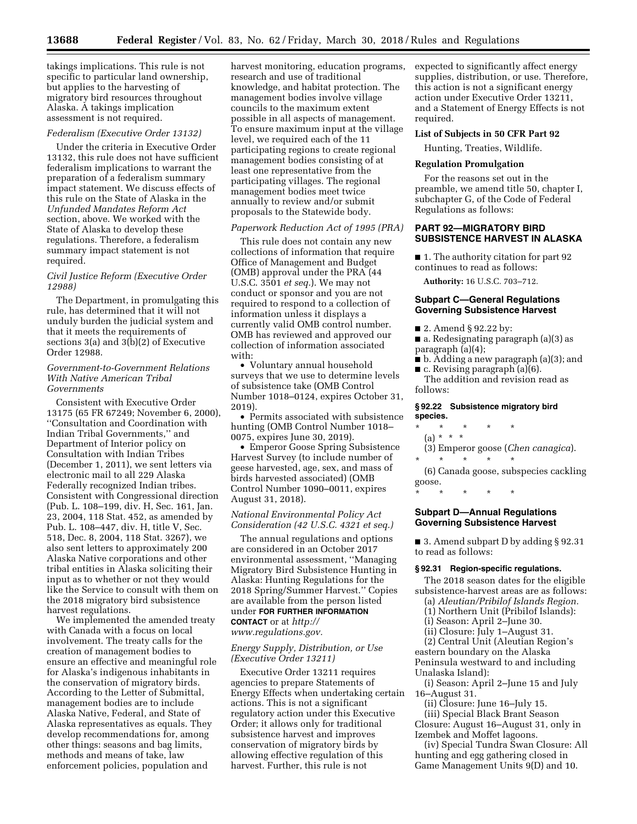takings implications. This rule is not specific to particular land ownership, but applies to the harvesting of migratory bird resources throughout Alaska. A takings implication assessment is not required.

#### *Federalism (Executive Order 13132)*

Under the criteria in Executive Order 13132, this rule does not have sufficient federalism implications to warrant the preparation of a federalism summary impact statement. We discuss effects of this rule on the State of Alaska in the *Unfunded Mandates Reform Act*  section, above. We worked with the State of Alaska to develop these regulations. Therefore, a federalism summary impact statement is not required.

#### *Civil Justice Reform (Executive Order 12988)*

The Department, in promulgating this rule, has determined that it will not unduly burden the judicial system and that it meets the requirements of sections 3(a) and 3(b)(2) of Executive Order 12988.

### *Government-to-Government Relations With Native American Tribal Governments*

Consistent with Executive Order 13175 (65 FR 67249; November 6, 2000), ''Consultation and Coordination with Indian Tribal Governments,'' and Department of Interior policy on Consultation with Indian Tribes (December 1, 2011), we sent letters via electronic mail to all 229 Alaska Federally recognized Indian tribes. Consistent with Congressional direction (Pub. L. 108–199, div. H, Sec. 161, Jan. 23, 2004, 118 Stat. 452, as amended by Pub. L. 108–447, div. H, title V, Sec. 518, Dec. 8, 2004, 118 Stat. 3267), we also sent letters to approximately 200 Alaska Native corporations and other tribal entities in Alaska soliciting their input as to whether or not they would like the Service to consult with them on the 2018 migratory bird subsistence harvest regulations.

We implemented the amended treaty with Canada with a focus on local involvement. The treaty calls for the creation of management bodies to ensure an effective and meaningful role for Alaska's indigenous inhabitants in the conservation of migratory birds. According to the Letter of Submittal, management bodies are to include Alaska Native, Federal, and State of Alaska representatives as equals. They develop recommendations for, among other things: seasons and bag limits, methods and means of take, law enforcement policies, population and

harvest monitoring, education programs, research and use of traditional knowledge, and habitat protection. The management bodies involve village councils to the maximum extent possible in all aspects of management. To ensure maximum input at the village level, we required each of the 11 participating regions to create regional management bodies consisting of at least one representative from the participating villages. The regional management bodies meet twice annually to review and/or submit proposals to the Statewide body.

### *Paperwork Reduction Act of 1995 (PRA)*

This rule does not contain any new collections of information that require Office of Management and Budget (OMB) approval under the PRA (44 U.S.C. 3501 *et seq.*). We may not conduct or sponsor and you are not required to respond to a collection of information unless it displays a currently valid OMB control number. OMB has reviewed and approved our collection of information associated with:

• Voluntary annual household surveys that we use to determine levels of subsistence take (OMB Control Number 1018–0124, expires October 31, 2019).

• Permits associated with subsistence hunting (OMB Control Number 1018– 0075, expires June 30, 2019).

• Emperor Goose Spring Subsistence Harvest Survey (to include number of geese harvested, age, sex, and mass of birds harvested associated) (OMB Control Number 1090–0011, expires August 31, 2018).

# *National Environmental Policy Act Consideration (42 U.S.C. 4321 et seq.)*

The annual regulations and options are considered in an October 2017 environmental assessment, ''Managing Migratory Bird Subsistence Hunting in Alaska: Hunting Regulations for the 2018 Spring/Summer Harvest.'' Copies are available from the person listed under **FOR FURTHER INFORMATION CONTACT** or at *[http://](http://www.regulations.gov) [www.regulations.gov.](http://www.regulations.gov)* 

### *Energy Supply, Distribution, or Use (Executive Order 13211)*

Executive Order 13211 requires agencies to prepare Statements of Energy Effects when undertaking certain actions. This is not a significant regulatory action under this Executive Order; it allows only for traditional subsistence harvest and improves conservation of migratory birds by allowing effective regulation of this harvest. Further, this rule is not

expected to significantly affect energy supplies, distribution, or use. Therefore, this action is not a significant energy action under Executive Order 13211, and a Statement of Energy Effects is not required.

#### **List of Subjects in 50 CFR Part 92**

Hunting, Treaties, Wildlife.

### **Regulation Promulgation**

For the reasons set out in the preamble, we amend title 50, chapter I, subchapter G, of the Code of Federal Regulations as follows:

### **PART 92—MIGRATORY BIRD SUBSISTENCE HARVEST IN ALASKA**

■ 1. The authority citation for part 92 continues to read as follows:

**Authority:** 16 U.S.C. 703–712.

### **Subpart C—General Regulations Governing Subsistence Harvest**

- 2. Amend § 92.22 by:
- a. Redesignating paragraph (a)(3) as paragraph  $(a)(4)$ ;
- b. Adding a new paragraph (a)(3); and
- $\blacksquare$  c. Revising paragraph (a)(6).

The addition and revision read as follows:

#### **§ 92.22 Subsistence migratory bird species.**

\* \* \* \* \*

# (a) \* \* \*

(3) Emperor goose (*Chen canagica*).

\* \* \* \* \* (6) Canada goose, subspecies cackling goose.

\* \* \* \* \*

#### **Subpart D—Annual Regulations Governing Subsistence Harvest**

■ 3. Amend subpart D by adding § 92.31 to read as follows:

# **§ 92.31 Region-specific regulations.**

The 2018 season dates for the eligible subsistence-harvest areas are as follows:

- (a) *Aleutian/Pribilof Islands Region.*
- (1) Northern Unit (Pribilof Islands):
- (i) Season: April 2–June 30.
- (ii) Closure: July 1–August 31.

(2) Central Unit (Aleutian Region's eastern boundary on the Alaska Peninsula westward to and including Unalaska Island):

- (i) Season: April 2–June 15 and July 16–August 31.
	- (ii) Closure: June 16–July 15.

(iii) Special Black Brant Season Closure: August 16–August 31, only in

Izembek and Moffet lagoons. (iv) Special Tundra Swan Closure: All

hunting and egg gathering closed in Game Management Units 9(D) and 10.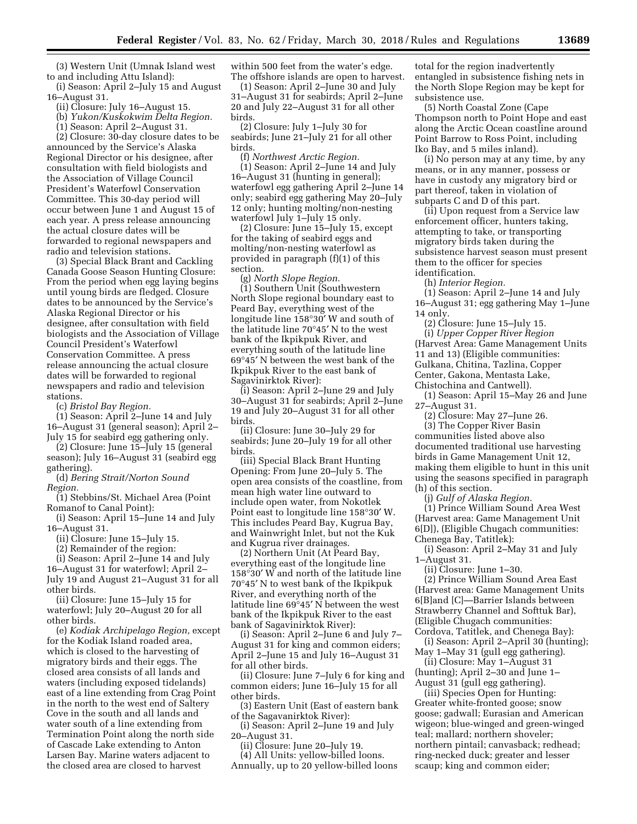(3) Western Unit (Umnak Island west to and including Attu Island):

(i) Season: April 2–July 15 and August 16–August 31.

(ii) Closure: July 16–August 15.

(b) *Yukon/Kuskokwim Delta Region.* 

(1) Season: April 2–August 31.

(2) Closure: 30-day closure dates to be announced by the Service's Alaska Regional Director or his designee, after consultation with field biologists and the Association of Village Council President's Waterfowl Conservation Committee. This 30-day period will occur between June 1 and August 15 of each year. A press release announcing the actual closure dates will be forwarded to regional newspapers and radio and television stations.

(3) Special Black Brant and Cackling Canada Goose Season Hunting Closure: From the period when egg laying begins until young birds are fledged. Closure dates to be announced by the Service's Alaska Regional Director or his designee, after consultation with field biologists and the Association of Village Council President's Waterfowl Conservation Committee. A press release announcing the actual closure dates will be forwarded to regional newspapers and radio and television stations.

(c) *Bristol Bay Region.* 

(1) Season: April 2–June 14 and July 16–August 31 (general season); April 2– July 15 for seabird egg gathering only.

(2) Closure: June 15–July 15 (general season); July 16–August 31 (seabird egg gathering).

(d) *Bering Strait/Norton Sound Region.* 

(1) Stebbins/St. Michael Area (Point Romanof to Canal Point):

(i) Season: April 15–June 14 and July 16–August 31.

(ii) Closure: June 15–July 15.

(2) Remainder of the region:

(i) Season: April 2–June 14 and July 16–August 31 for waterfowl; April 2– July 19 and August 21–August 31 for all other birds.

(ii) Closure: June 15–July 15 for waterfowl; July 20–August 20 for all other birds.

(e) *Kodiak Archipelago Region,* except for the Kodiak Island roaded area, which is closed to the harvesting of migratory birds and their eggs. The closed area consists of all lands and waters (including exposed tidelands) east of a line extending from Crag Point in the north to the west end of Saltery Cove in the south and all lands and water south of a line extending from Termination Point along the north side of Cascade Lake extending to Anton Larsen Bay. Marine waters adjacent to the closed area are closed to harvest

within 500 feet from the water's edge. The offshore islands are open to harvest.

(1) Season: April 2–June 30 and July 31–August 31 for seabirds; April 2–June 20 and July 22–August 31 for all other birds.

(2) Closure: July 1–July 30 for seabirds; June 21–July 21 for all other birds.

(f) *Northwest Arctic Region.*  (1) Season: April 2–June 14 and July 16–August 31 (hunting in general); waterfowl egg gathering April 2–June 14 only; seabird egg gathering May 20–July 12 only; hunting molting/non-nesting waterfowl July 1–July 15 only.

(2) Closure: June 15–July 15, except for the taking of seabird eggs and molting/non-nesting waterfowl as provided in paragraph (f)(1) of this section.

(g) *North Slope Region.*  (1) Southern Unit (Southwestern North Slope regional boundary east to Peard Bay, everything west of the longitude line 158°30′ W and south of the latitude line 70°45′ N to the west bank of the Ikpikpuk River, and everything south of the latitude line 69°45′ N between the west bank of the Ikpikpuk River to the east bank of Sagavinirktok River):

(i) Season: April 2–June 29 and July 30–August 31 for seabirds; April 2–June 19 and July 20–August 31 for all other birds.

(ii) Closure: June 30–July 29 for seabirds; June 20–July 19 for all other birds.

(iii) Special Black Brant Hunting Opening: From June 20–July 5. The open area consists of the coastline, from mean high water line outward to include open water, from Nokotlek Point east to longitude line 158°30′ W. This includes Peard Bay, Kugrua Bay, and Wainwright Inlet, but not the Kuk and Kugrua river drainages.

(2) Northern Unit (At Peard Bay, everything east of the longitude line 158°30′ W and north of the latitude line 70°45′ N to west bank of the Ikpikpuk River, and everything north of the latitude line 69°45′ N between the west bank of the Ikpikpuk River to the east bank of Sagavinirktok River):

(i) Season: April 2–June 6 and July 7– August 31 for king and common eiders; April 2–June 15 and July 16–August 31 for all other birds.

(ii) Closure: June 7–July 6 for king and common eiders; June 16–July 15 for all other birds.

(3) Eastern Unit (East of eastern bank of the Sagavanirktok River):

(i) Season: April 2–June 19 and July 20–August 31.

(ii) Closure: June 20–July 19.

(4) All Units: yellow-billed loons. Annually, up to 20 yellow-billed loons

total for the region inadvertently entangled in subsistence fishing nets in the North Slope Region may be kept for subsistence use.

(5) North Coastal Zone (Cape Thompson north to Point Hope and east along the Arctic Ocean coastline around Point Barrow to Ross Point, including Iko Bay, and 5 miles inland).

(i) No person may at any time, by any means, or in any manner, possess or have in custody any migratory bird or part thereof, taken in violation of subparts C and D of this part.

(ii) Upon request from a Service law enforcement officer, hunters taking, attempting to take, or transporting migratory birds taken during the subsistence harvest season must present them to the officer for species identification.

(h) *Interior Region.* 

(1) Season: April 2–June 14 and July 16–August 31; egg gathering May 1–June 14 only.

(2) Closure: June 15–July 15. (i) *Upper Copper River Region*  (Harvest Area: Game Management Units 11 and 13) (Eligible communities: Gulkana, Chitina, Tazlina, Copper Center, Gakona, Mentasta Lake, Chistochina and Cantwell).

(1) Season: April 15–May 26 and June 27–August 31.

(2) Closure: May 27–June 26.

(3) The Copper River Basin communities listed above also documented traditional use harvesting birds in Game Management Unit 12, making them eligible to hunt in this unit using the seasons specified in paragraph (h) of this section.

(j) *Gulf of Alaska Region.* 

(1) Prince William Sound Area West (Harvest area: Game Management Unit 6[D]), (Eligible Chugach communities: Chenega Bay, Tatitlek):

(i) Season: April 2–May 31 and July 1–August 31.

(ii) Closure: June 1–30.

(2) Prince William Sound Area East (Harvest area: Game Management Units 6[B]and [C]—Barrier Islands between Strawberry Channel and Softtuk Bar), (Eligible Chugach communities: Cordova, Tatitlek, and Chenega Bay):

(i) Season: April 2–April 30 (hunting); May 1–May 31 (gull egg gathering).

(ii) Closure: May 1–August 31 (hunting); April 2–30 and June 1–

August 31 (gull egg gathering). (iii) Species Open for Hunting:

Greater white-fronted goose; snow goose; gadwall; Eurasian and American wigeon; blue-winged and green-winged teal; mallard; northern shoveler; northern pintail; canvasback; redhead; ring-necked duck; greater and lesser scaup; king and common eider;